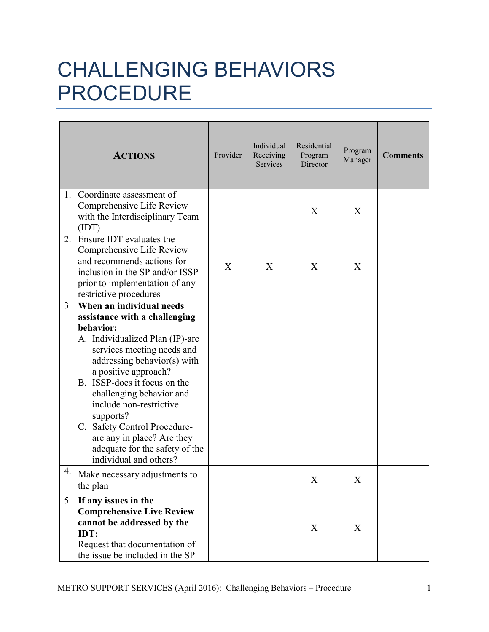## CHALLENGING BEHAVIORS PROCEDURE

|    | <b>ACTIONS</b>                                                                                                                                                                                                                                                                                                                                                                                                               | Provider | Individual<br>Receiving<br>Services | Residential<br>Program<br>Director | Program<br>Manager | <b>Comments</b> |
|----|------------------------------------------------------------------------------------------------------------------------------------------------------------------------------------------------------------------------------------------------------------------------------------------------------------------------------------------------------------------------------------------------------------------------------|----------|-------------------------------------|------------------------------------|--------------------|-----------------|
|    | 1. Coordinate assessment of<br>Comprehensive Life Review<br>with the Interdisciplinary Team<br>(IDT)                                                                                                                                                                                                                                                                                                                         |          |                                     | X                                  | X                  |                 |
| 2. | Ensure IDT evaluates the<br>Comprehensive Life Review<br>and recommends actions for<br>inclusion in the SP and/or ISSP<br>prior to implementation of any<br>restrictive procedures                                                                                                                                                                                                                                           | X        | X                                   | X                                  | X                  |                 |
| 3. | When an individual needs<br>assistance with a challenging<br>behavior:<br>A. Individualized Plan (IP)-are<br>services meeting needs and<br>addressing behavior(s) with<br>a positive approach?<br>B. ISSP-does it focus on the<br>challenging behavior and<br>include non-restrictive<br>supports?<br>C. Safety Control Procedure-<br>are any in place? Are they<br>adequate for the safety of the<br>individual and others? |          |                                     |                                    |                    |                 |
| 4. | Make necessary adjustments to<br>the plan                                                                                                                                                                                                                                                                                                                                                                                    |          |                                     | X                                  | X                  |                 |
|    | 5. If any issues in the<br><b>Comprehensive Live Review</b><br>cannot be addressed by the<br>IDT:<br>Request that documentation of<br>the issue be included in the SP                                                                                                                                                                                                                                                        |          |                                     | X                                  | X                  |                 |